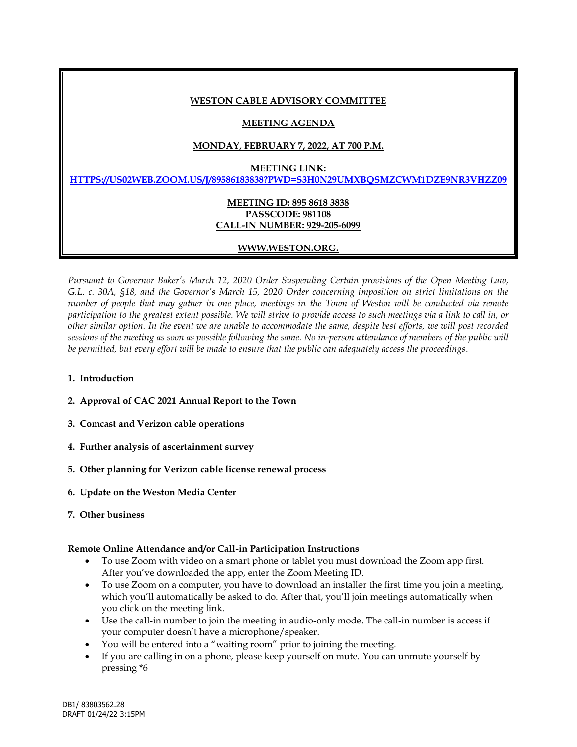### **WESTON CABLE ADVISORY COMMITTEE**

# **MEETING AGENDA**

# **MONDAY, FEBRUARY 7, 2022, AT 700 P.M.**

#### **MEETING LINK:**

**[HTTPS://US02WEB.ZOOM.US/J/89586183838?PWD=S3H0N29UMXBQSMZCWM1DZE9NR3VHZZ09](https://urldefense.com/v3/__https:/us02web.zoom.us/j/89586183838?pwd=S3h0N29UMXBQSmZCWm1DZE9NR3VHZz09__;!!DuJIhUBmA6S-!W-JXsReDx2IBfzpQwY6B2dcdf7j_3PeFM9ycY-CFekYqVjy0OMenDCgTadNp09_AUGNSBQ$)**

### **MEETING ID: 895 8618 3838 PASSCODE: 981108 CALL-IN NUMBER: 929-205-6099**

# **WWW.WESTON.ORG.**

*Pursuant to Governor Baker's March 12, 2020 Order Suspending Certain provisions of the Open Meeting Law, G.L. c. 30A, §18, and the Governor's March 15, 2020 Order concerning imposition on strict limitations on the number of people that may gather in one place, meetings in the Town of Weston will be conducted via remote participation to the greatest extent possible. We will strive to provide access to such meetings via a link to call in, or other similar option. In the event we are unable to accommodate the same, despite best efforts, we will post recorded sessions of the meeting as soon as possible following the same. No in-person attendance of members of the public will be permitted, but every effort will be made to ensure that the public can adequately access the proceedings.*

- **1. Introduction**
- **2. Approval of CAC 2021 Annual Report to the Town**
- **3. Comcast and Verizon cable operations**
- **4. Further analysis of ascertainment survey**
- **5. Other planning for Verizon cable license renewal process**
- **6. Update on the Weston Media Center**
- **7. Other business**

#### **Remote Online Attendance and/or Call-in Participation Instructions**

- To use Zoom with video on a smart phone or tablet you must download the Zoom app first. After you've downloaded the app, enter the Zoom Meeting ID.
- To use Zoom on a computer, you have to download an installer the first time you join a meeting, which you'll automatically be asked to do. After that, you'll join meetings automatically when you click on the meeting link.
- Use the call-in number to join the meeting in audio-only mode. The call-in number is access if your computer doesn't have a microphone/speaker.
- You will be entered into a "waiting room" prior to joining the meeting.
- If you are calling in on a phone, please keep yourself on mute. You can unmute yourself by pressing \*6